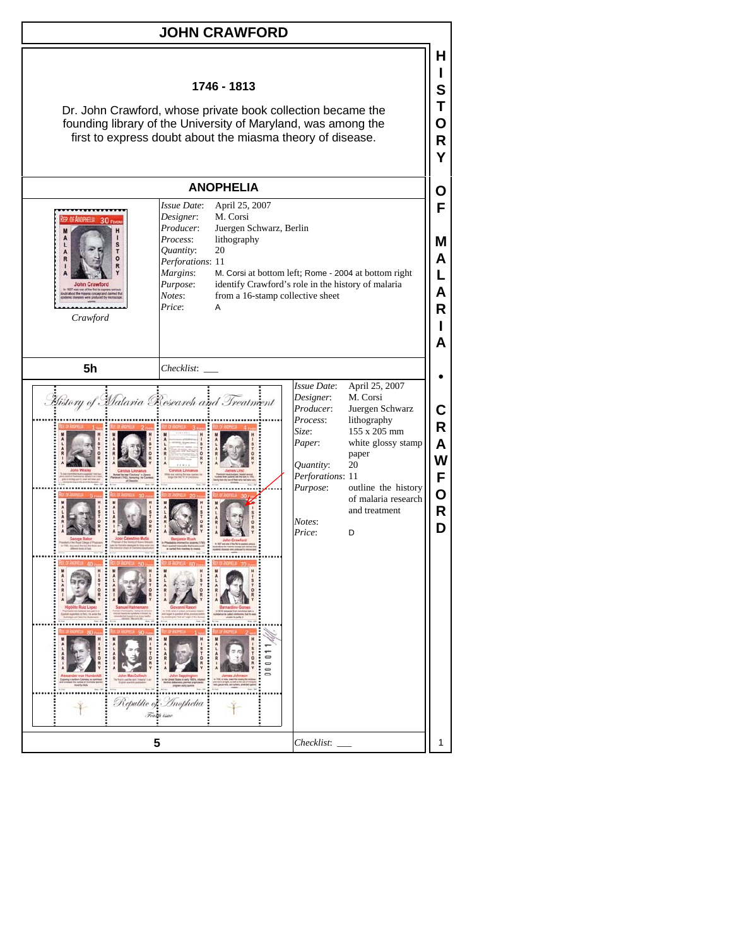